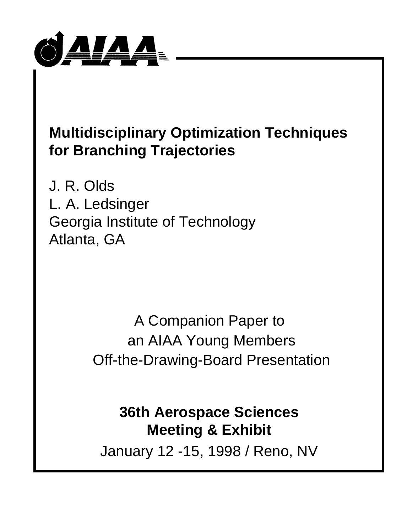

# **Multidisciplinary Optimization Techniques for Branching Trajectories**

J. R. Olds L. A. Ledsinger Georgia Institute of Technology Atlanta, GA

> A Companion Paper to an AIAA Young Members Off-the-Drawing-Board Presentation

# **36th Aerospace Sciences Meeting & Exhibit**

January 12 -15, 1998 / Reno, NV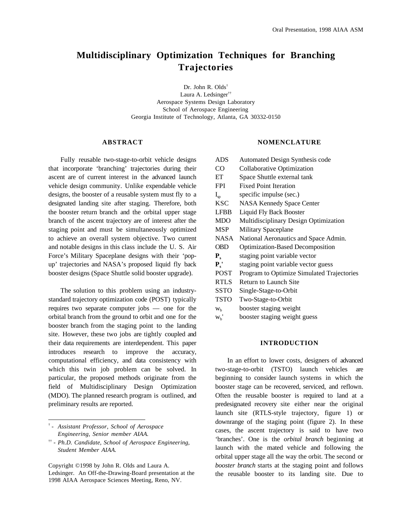# **Multidisciplinary Optimization Techniques for Branching Trajectories**

Dr. John R. Olds† Laura A. Ledsinger†† Aerospace Systems Design Laboratory School of Aerospace Engineering Georgia Institute of Technology, Atlanta, GA 30332-0150

#### **ABSTRACT**

Fully reusable two-stage-to-orbit vehicle designs that incorporate 'branching' trajectories during their ascent are of current interest in the advanced launch vehicle design community. Unlike expendable vehicle designs, the booster of a reusable system must fly to a designated landing site after staging. Therefore, both the booster return branch and the orbital upper stage branch of the ascent trajectory are of interest after the staging point and must be simultaneously optimized to achieve an overall system objective. Two current and notable designs in this class include the U. S. Air Force's Military Spaceplane designs with their 'popup' trajectories and NASA's proposed liquid fly back booster designs (Space Shuttle solid booster upgrade).

The solution to this problem using an industrystandard trajectory optimization code (POST) typically requires two separate computer jobs — one for the orbital branch from the ground to orbit and one for the booster branch from the staging point to the landing site. However, these two jobs are tightly coupled and their data requirements are interdependent. This paper introduces research to improve the accuracy, computational efficiency, and data consistency with which this twin job problem can be solved. In particular, the proposed methods originate from the field of Multidisciplinary Design Optimization (MDO). The planned research program is outlined, and preliminary results are reported.

†  *- Assistant Professor, School of Aerospace Engineering, Senior member AIAA.*

 $\overline{a}$ 

Copyright ©1998 by John R. Olds and Laura A. Ledsinger. An Off-the-Drawing-Board presentation at the 1998 AIAA Aerospace Sciences Meeting, Reno, NV.

#### **NOMENCLATURE**

ADS Automated Design Synthesis code CO Collaborative Optimization ET Space Shuttle external tank FPI Fixed Point Iteration  $I_{\rm sn}$  specific impulse (sec.) KSC NASA Kennedy Space Center LFBB Liquid Fly Back Booster MDO Multidisciplinary Design Optimization MSP Military Spaceplane NASA National Aeronautics and Space Admin. OBD Optimization-Based Decomposition **P**<sub>s</sub> staging point variable vector **Ps'** staging point variable vector guess POST Program to Optimize Simulated Trajectories RTLS Return to Launch Site SSTO Single-Stage-to-Orbit TSTO Two-Stage-to-Orbit  $w<sub>b</sub>$  booster staging weight  $w<sub>b</sub>$ ' booster staging weight guess

# **INTRODUCTION**

In an effort to lower costs, designers of advanced two-stage-to-orbit (TSTO) launch vehicles are beginning to consider launch systems in which the booster stage can be recovered, serviced, and reflown. Often the reusable booster is required to land at a predesignated recovery site either near the original launch site (RTLS-style trajectory, figure 1) or downrange of the staging point (figure 2). In these cases, the ascent trajectory is said to have two 'branches'. One is the *orbital branch* beginning at launch with the mated vehicle and following the orbital upper stage all the way the orbit. The second or *booster branch* starts at the staging point and follows the reusable booster to its landing site. Due to

<sup>††</sup> *- Ph.D. Candidate, School of Aerospace Engineering, Student Member AIAA.*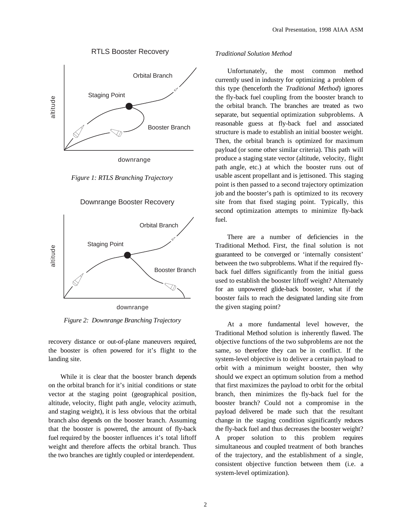

altitude

# RTLS Booster Recovery

downrange

Booster Branch

*Figure 1: RTLS Branching Trajectory*



Downrange Booster Recovery

*Figure 2: Downrange Branching Trajectory*

recovery distance or out-of-plane maneuvers required, the booster is often powered for it's flight to the landing site.

While it is clear that the booster branch depends on the orbital branch for it's initial conditions or state vector at the staging point (geographical position, altitude, velocity, flight path angle, velocity azimuth, and staging weight), it is less obvious that the orbital branch also depends on the booster branch. Assuming that the booster is powered, the amount of fly-back fuel required by the booster influences it's total liftoff weight and therefore affects the orbital branch. Thus the two branches are tightly coupled or interdependent.

# *Traditional Solution Method*

Unfortunately, the most common method currently used in industry for optimizing a problem of this type (henceforth the *Traditional Method*) ignores the fly-back fuel coupling from the booster branch to the orbital branch. The branches are treated as two separate, but sequential optimization subproblems. A reasonable guess at fly-back fuel and associated structure is made to establish an initial booster weight. Then, the orbital branch is optimized for maximum payload (or some other similar criteria). This path will produce a staging state vector (altitude, velocity, flight path angle, etc.) at which the booster runs out of usable ascent propellant and is jettisoned. This staging point is then passed to a second trajectory optimization job and the booster's path is optimized to its recovery site from that fixed staging point. Typically, this second optimization attempts to minimize fly-back fuel.

There are a number of deficiencies in the Traditional Method. First, the final solution is not guaranteed to be converged or 'internally consistent' between the two subproblems. What if the required flyback fuel differs significantly from the initial guess used to establish the booster liftoff weight? Alternately for an unpowered glide-back booster, what if the booster fails to reach the designated landing site from the given staging point?

At a more fundamental level however, the Traditional Method solution is inherently flawed. The objective functions of the two subproblems are not the same, so therefore they can be in conflict. If the system-level objective is to deliver a certain payload to orbit with a minimum weight booster, then why should we expect an optimum solution from a method that first maximizes the payload to orbit for the orbital branch, then minimizes the fly-back fuel for the booster branch? Could not a compromise in the payload delivered be made such that the resultant change in the staging condition significantly reduces the fly-back fuel and thus decreases the booster weight? A proper solution to this problem requires simultaneous and coupled treatment of both branches of the trajectory, and the establishment of a single, consistent objective function between them (i.e. a system-level optimization).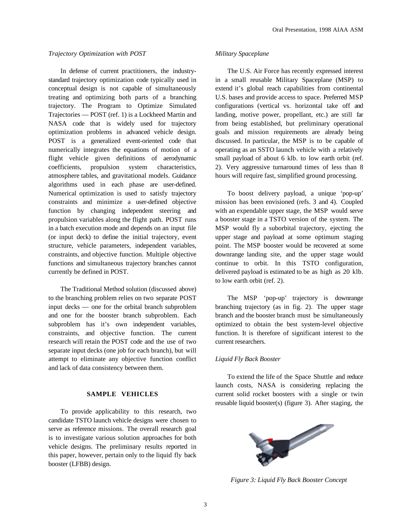## *Trajectory Optimization with POST*

In defense of current practitioners, the industrystandard trajectory optimization code typically used in conceptual design is not capable of simultaneously treating and optimizing both parts of a branching trajectory. The Program to Optimize Simulated Trajectories — POST (ref. 1) is a Lockheed Martin and NASA code that is widely used for trajectory optimization problems in advanced vehicle design. POST is a generalized event-oriented code that numerically integrates the equations of motion of a flight vehicle given definitions of aerodynamic coefficients, propulsion system characteristics, atmosphere tables, and gravitational models. Guidance algorithms used in each phase are user-defined. Numerical optimization is used to satisfy trajectory constraints and minimize a user-defined objective function by changing independent steering and propulsion variables along the flight path. POST runs in a batch execution mode and depends on an input file (or input deck) to define the initial trajectory, event structure, vehicle parameters, independent variables, constraints, and objective function. Multiple objective functions and simultaneous trajectory branches cannot currently be defined in POST.

The Traditional Method solution (discussed above) to the branching problem relies on two separate POST input decks — one for the orbital branch subproblem and one for the booster branch subproblem. Each subproblem has it's own independent variables, constraints, and objective function. The current research will retain the POST code and the use of two separate input decks (one job for each branch), but will attempt to eliminate any objective function conflict and lack of data consistency between them.

#### **SAMPLE VEHICLES**

To provide applicability to this research, two candidate TSTO launch vehicle designs were chosen to serve as reference missions. The overall research goal is to investigate various solution approaches for both vehicle designs. The preliminary results reported in this paper, however, pertain only to the liquid fly back booster (LFBB) design.

#### *Military Spaceplane*

The U.S. Air Force has recently expressed interest in a small reusable Military Spaceplane (MSP) to extend it's global reach capabilities from continental U.S. bases and provide access to space. Preferred MSP configurations (vertical vs. horizontal take off and landing, motive power, propellant, etc.) are still far from being established, but preliminary operational goals and mission requirements are already being discussed. In particular, the MSP is to be capable of operating as an SSTO launch vehicle with a relatively small payload of about 6 klb. to low earth orbit (ref. 2). Very aggressive turnaround times of less than 8 hours will require fast, simplified ground processing.

To boost delivery payload, a unique 'pop-up' mission has been envisioned (refs. 3 and 4). Coupled with an expendable upper stage, the MSP would serve a booster stage in a TSTO version of the system. The MSP would fly a suborbital trajectory, ejecting the upper stage and payload at some optimum staging point. The MSP booster would be recovered at some downrange landing site, and the upper stage would continue to orbit. In this TSTO configuration, delivered payload is estimated to be as high as 20 klb. to low earth orbit (ref. 2).

The MSP 'pop-up' trajectory is downrange branching trajectory (as in fig. 2). The upper stage branch and the booster branch must be simultaneously optimized to obtain the best system-level objective function. It is therefore of significant interest to the current researchers.

#### *Liquid Fly Back Booster*

To extend the life of the Space Shuttle and reduce launch costs, NASA is considering replacing the current solid rocket boosters with a single or twin reusable liquid booster(s) (figure 3). After staging, the



*Figure 3: Liquid Fly Back Booster Concept*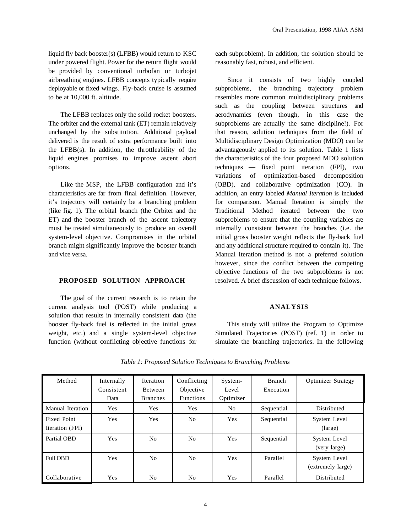liquid fly back booster(s) (LFBB) would return to KSC under powered flight. Power for the return flight would be provided by conventional turbofan or turbojet airbreathing engines. LFBB concepts typically require deployable or fixed wings. Fly-back cruise is assumed to be at 10,000 ft. altitude.

The LFBB replaces only the solid rocket boosters. The orbiter and the external tank (ET) remain relatively unchanged by the substitution. Additional payload delivered is the result of extra performance built into the LFBB $(s)$ . In addition, the throttleability of the liquid engines promises to improve ascent abort options.

Like the MSP, the LFBB configuration and it's characteristics are far from final definition. However, it's trajectory will certainly be a branching problem (like fig. 1). The orbital branch (the Orbiter and the ET) and the booster branch of the ascent trajectory must be treated simultaneously to produce an overall system-level objective. Compromises in the orbital branch might significantly improve the booster branch and vice versa.

# **PROPOSED SOLUTION APPROACH**

The goal of the current research is to retain the current analysis tool (POST) while producing a solution that results in internally consistent data (the booster fly-back fuel is reflected in the initial gross weight, etc.) and a single system-level objective function (without conflicting objective functions for

each subproblem). In addition, the solution should be reasonably fast, robust, and efficient.

Since it consists of two highly coupled subproblems, the branching trajectory problem resembles more common multidisciplinary problems such as the coupling between structures and aerodynamics (even though, in this case the subproblems are actually the same discipline!). For that reason, solution techniques from the field of Multidisciplinary Design Optimization (MDO) can be advantageously applied to its solution. Table 1 lists the characteristics of the four proposed MDO solution techniques — fixed point iteration (FPI), two variations of optimization-based decomposition (OBD), and collaborative optimization (CO). In addition, an entry labeled *Manual Iteration* is included for comparison. Manual Iteration is simply the Traditional Method iterated between the two subproblems to ensure that the coupling variables are internally consistent between the branches (i.e. the initial gross booster weight reflects the fly-back fuel and any additional structure required to contain it). The Manual Iteration method is not a preferred solution however, since the conflict between the competing objective functions of the two subproblems is not resolved. A brief discussion of each technique follows.

#### **ANALYSIS**

This study will utilize the Program to Optimize Simulated Trajectories (POST) (ref. 1) in order to simulate the branching trajectories. In the following

| Method                                | Internally<br>Consistent<br>Data | <b>Iteration</b><br><b>Between</b><br><b>Branches</b> | Conflicting<br>Objective<br><b>Functions</b> | System-<br>Level<br>Optimizer | Branch<br>Execution | <b>Optimizer Strategy</b>         |
|---------------------------------------|----------------------------------|-------------------------------------------------------|----------------------------------------------|-------------------------------|---------------------|-----------------------------------|
| Manual Iteration                      | Yes                              | Yes                                                   | Yes                                          | No                            | Sequential          | Distributed                       |
| <b>Fixed Point</b><br>Iteration (FPI) | Yes                              | <b>Yes</b>                                            | No                                           | Yes                           | Sequential          | System Level<br>(large)           |
| Partial OBD                           | Yes                              | N <sub>0</sub>                                        | No                                           | <b>Yes</b>                    | Sequential          | System Level<br>(very large)      |
| <b>Full OBD</b>                       | Yes                              | No                                                    | No                                           | <b>Yes</b>                    | Parallel            | System Level<br>(extremely large) |
| Collaborative                         | Yes                              | N <sub>o</sub>                                        | No                                           | Yes                           | Parallel            | Distributed                       |

*Table 1: Proposed Solution Techniques to Branching Problems*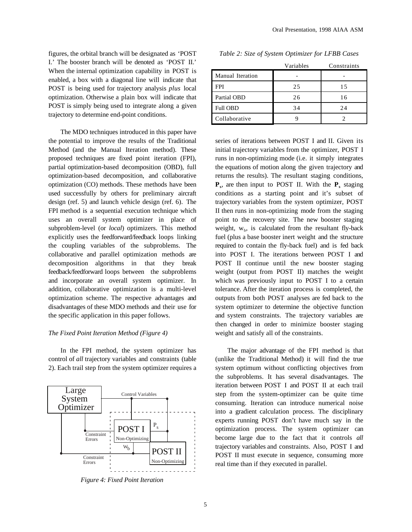figures, the orbital branch will be designated as 'POST I.' The booster branch will be denoted as 'POST II.' When the internal optimization capability in POST is enabled, a box with a diagonal line will indicate that POST is being used for trajectory analysis *plus* local optimization. Otherwise a plain box will indicate that POST is simply being used to integrate along a given trajectory to determine end-point conditions.

The MDO techniques introduced in this paper have the potential to improve the results of the Traditional Method (and the Manual Iteration method). These proposed techniques are fixed point iteration (FPI), partial optimization-based decomposition (OBD), full optimization-based decomposition, and collaborative optimization (CO) methods. These methods have been used successfully by others for preliminary aircraft design (ref. 5) and launch vehicle design (ref. 6). The FPI method is a sequential execution technique which uses an overall system optimizer in place of subproblem-level (or *local*) optimizers. This method explicitly uses the feedforward/feedback loops linking the coupling variables of the subproblems. The collaborative and parallel optimization methods are decomposition algorithms in that they break feedback/feedforward loops between the subproblems and incorporate an overall system optimizer. In addition, collaborative optimization is a multi-level optimization scheme. The respective advantages and disadvantages of these MDO methods and their use for the specific application in this paper follows.

#### *The Fixed Point Iteration Method (Figure 4)*

In the FPI method, the system optimizer has control of *all* trajectory variables and constraints (table 2). Each trail step from the system optimizer requires a



*Figure 4: Fixed Point Iteration*

|                  | Variables | Constraints |
|------------------|-----------|-------------|
| Manual Iteration |           |             |
| <b>FPI</b>       | 25        | 15          |
| Partial OBD      | 26        | 16          |
| <b>Full OBD</b>  | 34        | 24          |
| Collaborative    |           |             |

*Table 2: Size of System Optimizer for LFBB Cases*

series of iterations between POST I and II. Given its initial trajectory variables from the optimizer, POST I runs in non-optimizing mode (i.e. it simply integrates the equations of motion along the given trajectory and returns the results). The resultant staging conditions,  $\mathbf{P}_s$ , are then input to POST II. With the  $\mathbf{P}_s$  staging conditions as a starting point and it's subset of trajectory variables from the system optimizer, POST II then runs in non-optimizing mode from the staging point to the recovery site. The new booster staging weight,  $w<sub>b</sub>$ , is calculated from the resultant fly-back fuel (plus a base booster inert weight and the structure required to contain the fly-back fuel) and is fed back into POST I. The iterations between POST I and POST II continue until the new booster staging weight (output from POST II) matches the weight which was previously input to POST I to a certain tolerance. After the iteration process is completed, the outputs from both POST analyses are fed back to the system optimizer to determine the objective function and system constraints. The trajectory variables are then changed in order to minimize booster staging weight and satisfy all of the constraints.

The major advantage of the FPI method is that (unlike the Traditional Method) it will find the true system optimum without conflicting objectives from the subproblems. It has several disadvantages. The iteration between POST I and POST II at each trail step from the system-optimizer can be quite time consuming. Iteration can introduce numerical noise into a gradient calculation process. The disciplinary experts running POST don't have much say in the optimization process. The system optimizer can become large due to the fact that it controls *all* trajectory variables and constraints. Also, POST I and POST II must execute in sequence, consuming more real time than if they executed in parallel.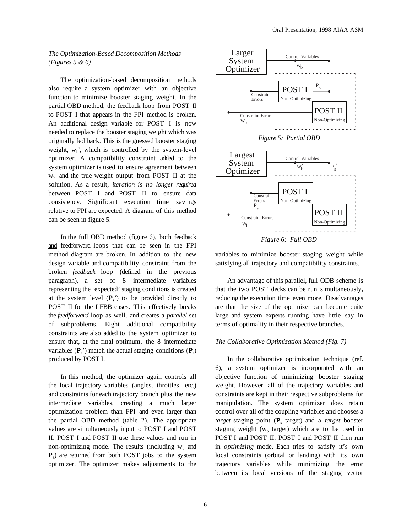# *The Optimization-Based Decomposition Methods (Figures 5 & 6)*

The optimization-based decomposition methods also require a system optimizer with an objective function to minimize booster staging weight. In the partial OBD method, the feedback loop from POST II to POST I that appears in the FPI method is broken. An additional design variable for POST I is now needed to replace the booster staging weight which was originally fed back. This is the guessed booster staging weight,  $W<sub>b</sub>$ ', which is controlled by the system-level optimizer. A compatibility constraint added to the system optimizer is used to ensure agreement between  $w<sub>b</sub>$ ' and the true weight output from POST II at the solution. As a result, *iteration is no longer required* between POST I and POST II to ensure data consistency. Significant execution time savings relative to FPI are expected. A diagram of this method can be seen in figure 5.

In the full OBD method (figure 6), both feedback and feedforward loops that can be seen in the FPI method diagram are broken. In addition to the new design variable and compatibility constraint from the broken *feedback* loop (defined in the previous paragraph), a set of 8 intermediate variables representing the 'expected' staging conditions is created at the system level  $(\mathbf{P}_s)$  to be provided directly to POST II for the LFBB cases. This effectively breaks the *feedforward* loop as well, and creates a *parallel* set of subproblems. Eight additional compatibility constraints are also added to the system optimizer to ensure that, at the final optimum, the 8 intermediate variables  $(\mathbf{P}_s)$  match the actual staging conditions  $(\mathbf{P}_s)$ produced by POST I.

In this method, the optimizer again controls all the local trajectory variables (angles, throttles, etc.) and constraints for each trajectory branch plus the new intermediate variables, creating a much larger optimization problem than FPI and even larger than the partial OBD method (table 2). The appropriate values are simultaneously input to POST I and POST II. POST I and POST II use these values and run in non-optimizing mode. The results (including  $W<sub>b</sub>$  and **Ps**) are returned from both POST jobs to the system optimizer. The optimizer makes adjustments to the



variables to minimize booster staging weight while satisfying all trajectory and compatibility constraints.

An advantage of this parallel, full ODB scheme is that the two POST decks can be run simultaneously, reducing the execution time even more. Disadvantages are that the size of the optimizer can become quite large and system experts running have little say in terms of optimality in their respective branches.

## *The Collaborative Optimization Method (Fig. 7)*

In the collaborative optimization technique (ref. 6), a system optimizer is incorporated with an objective function of minimizing booster staging weight. However, all of the trajectory variables and constraints are kept in their respective subproblems for manipulation. The system optimizer does retain control over all of the coupling variables and chooses a *target* staging point ( $\mathbf{P}_s$  target) and a *target* booster staging weight ( $w<sub>b</sub>$  target) which are to be used in POST I and POST II. POST I and POST II then run in *optimizing* mode. Each tries to satisfy it's own local constraints (orbital or landing) with its own trajectory variables while minimizing the error between its local versions of the staging vector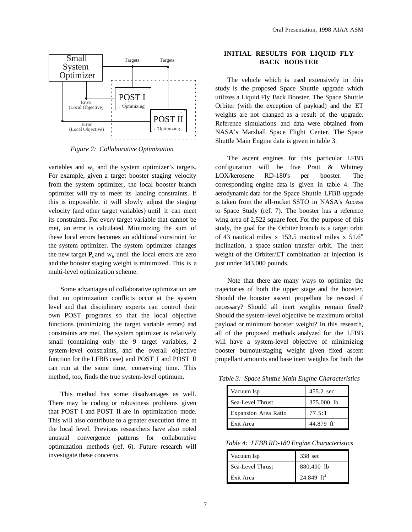

*Figure 7: Collaborative Optimization*

variables and  $w<sub>b</sub>$  and the system optimizer's targets. For example, given a target booster staging velocity from the system optimizer, the local booster branch optimizer will try to meet its landing constraints. If this is impossible, it will slowly adjust the staging velocity (and other target variables) until it can meet its constraints. For every target variable that cannot be met, an error is calculated. Minimizing the sum of these local errors becomes an additional constraint for the system optimizer. The system optimizer changes the new target  $P_s$  and  $w_b$  until the local errors are zero and the booster staging weight is minimized. This is a multi-level optimization scheme.

Some advantages of collaborative optimization are that no optimization conflicts occur at the system level and that disciplinary experts can control their own POST programs so that the local objective functions (minimizing the target variable errors) and constraints are met. The system optimizer is relatively small (containing only the 9 target variables, 2 system-level constraints, and the overall objective function for the LFBB case) and POST I and POST II can run at the same time, conserving time. This method, too, finds the true system-level optimum.

This method has some disadvantages as well. There may be coding or robustness problems given that POST I and POST II are in optimization mode. This will also contribute to a greater execution time at the local level. Previous researchers have also noted unusual convergence patterns for collaborative optimization methods (ref. 6). Future research will investigate these concerns.

# **INITIAL RESULTS FOR LIQUID FLY BACK BOOSTER**

The vehicle which is used extensively in this study is the proposed Space Shuttle upgrade which utilizes a Liquid Fly Back Booster. The Space Shuttle Orbiter (with the exception of payload) and the ET weights are not changed as a result of the upgrade. Reference simulations and data were obtained from NASA's Marshall Space Flight Center. The Space Shuttle Main Engine data is given in table 3.

The ascent engines for this particular LFBB configuration will be five Pratt & Whitney LOX/kerosene RD-180's per booster. The corresponding engine data is given in table 4. The aerodynamic data for the Space Shuttle LFBB upgrade is taken from the all-rocket SSTO in NASA's Access to Space Study (ref. 7). The booster has a reference wing area of 2,522 square feet. For the purpose of this study, the goal for the Orbiter branch is a target orbit of 43 nautical miles x 153.5 nautical miles x 51.6° inclination, a space station transfer orbit. The inert weight of the Orbiter/ET combination at injection is just under 343,000 pounds.

Note that there are many ways to optimize the trajectories of both the upper stage and the booster. Should the booster ascent propellant be resized if necessary? Should all inert weights remain fixed? Should the system-level objective be maximum orbital payload or minimum booster weight? In this research, all of the proposed methods analyzed for the LFBB will have a system-level objective of minimizing booster burnout/staging weight given fixed ascent propellant amounts and base inert weights for both the

*Table 3: Space Shuttle Main Engine Characteristics*

| Vacuum Isp                  | 455.2 sec     |  |
|-----------------------------|---------------|--|
| Sea-Level Thrust            | 375,000 lb    |  |
| <b>Expansion Area Ratio</b> | 77.5:1        |  |
| Exit Area                   | 44.879 $ft^2$ |  |

*Table 4: LFBB RD-180 Engine Characteristics*

| Vacuum Isp       | 338 sec       |  |
|------------------|---------------|--|
| Sea-Level Thrust | 880,400 lb    |  |
| Exit Area        | 24.849 $ft^2$ |  |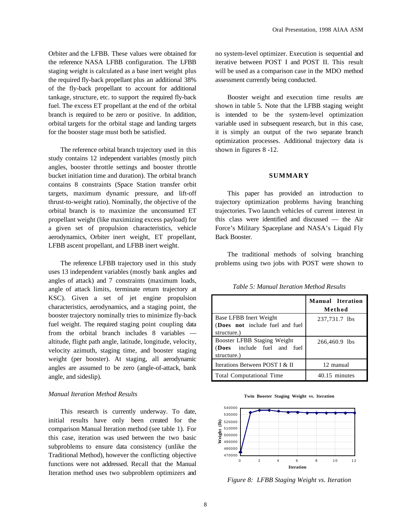Orbiter and the LFBB. These values were obtained for the reference NASA LFBB configuration. The LFBB staging weight is calculated as a base inert weight plus the required fly-back propellant plus an additional 38% of the fly-back propellant to account for additional tankage, structure, etc. to support the required fly-back fuel. The excess ET propellant at the end of the orbital branch is required to be zero or positive. In addition, orbital targets for the orbital stage and landing targets for the booster stage must both be satisfied.

The reference orbital branch trajectory used in this study contains 12 independent variables (mostly pitch angles, booster throttle settings and booster throttle bucket initiation time and duration). The orbital branch contains 8 constraints (Space Station transfer orbit targets, maximum dynamic pressure, and lift-off thrust-to-weight ratio). Nominally, the objective of the orbital branch is to maximize the unconsumed ET propellant weight (like maximizing excess payload) for a given set of propulsion characteristics, vehicle aerodynamics, Orbiter inert weight, ET propellant, LFBB ascent propellant, and LFBB inert weight.

The reference LFBB trajectory used in this study uses 13 independent variables (mostly bank angles and angles of attack) and 7 constraints (maximum loads, angle of attack limits, terminate return trajectory at KSC). Given a set of jet engine propulsion characteristics, aerodynamics, and a staging point, the booster trajectory nominally tries to minimize fly-back fuel weight. The required staging point coupling data from the orbital branch includes 8 variables altitude, flight path angle, latitude, longitude, velocity, velocity azimuth, staging time, and booster staging weight (per booster). At staging, all aerodynamic angles are assumed to be zero (angle-of-attack, bank angle, and sideslip).

#### *Manual Iteration Method Results*

This research is currently underway. To date, initial results have only been created for the comparison Manual Iteration method (see table 1). For this case, iteration was used between the two basic subproblems to ensure data consistency (unlike the Traditional Method), however the conflicting objective functions were not addressed. Recall that the Manual Iteration method uses two subproblem optimizers and no system-level optimizer. Execution is sequential and iterative between POST I and POST II. This result will be used as a comparison case in the MDO method assessment currently being conducted.

Booster weight and execution time results are shown in table 5. Note that the LFBB staging weight is intended to be the system-level optimization variable used in subsequent research, but in this case, it is simply an output of the two separate branch optimization processes. Additional trajectory data is shown in figures 8 -12.

#### **SUMMARY**

This paper has provided an introduction to trajectory optimization problems having branching trajectories. Two launch vehicles of current interest in this class were identified and discussed — the Air Force's Military Spaceplane and NASA's Liquid Fly Back Booster.

The traditional methods of solving branching problems using two jobs with POST were shown to

|                                                                           | <b>Manual Iteration</b><br>Method |
|---------------------------------------------------------------------------|-----------------------------------|
| Base LFBB Inert Weight<br>(Does not include fuel and fuel<br>structure.)  | 237,731.7 lbs                     |
| Booster LFBB Staging Weight<br>(Does include fuel and fuel<br>structure.) | 266,460.9 lbs                     |
| Iterations Between POST I & II                                            | 12 manual                         |
| <b>Total Computational Time</b>                                           | 40.15 minutes                     |

*Table 5: Manual Iteration Method Results*

**Twin Booster Staging Weight vs. Iteration**



*Figure 8: LFBB Staging Weight vs. Iteration*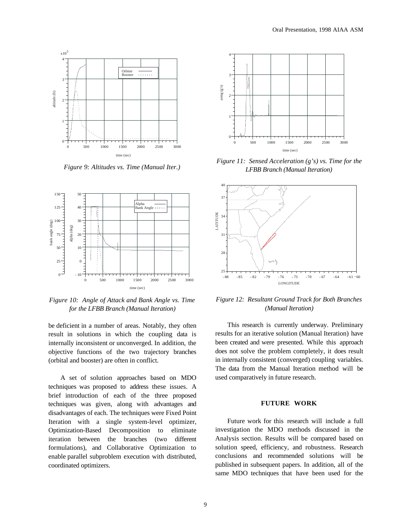

*Figure 9: Altitudes vs. Time (Manual Iter.)*



*Figure 10: Angle of Attack and Bank Angle vs. Time for the LFBB Branch (Manual Iteration)*

be deficient in a number of areas. Notably, they often result in solutions in which the coupling data is internally inconsistent or unconverged. In addition, the objective functions of the two trajectory branches (orbital and booster) are often in conflict.

A set of solution approaches based on MDO techniques was proposed to address these issues. A brief introduction of each of the three proposed techniques was given, along with advantages and disadvantages of each. The techniques were Fixed Point Iteration with a single system-level optimizer, Optimization-Based Decomposition to eliminate iteration between the branches (two different formulations), and Collaborative Optimization to enable parallel subproblem execution with distributed, coordinated optimizers.



*Figure 11: Sensed Acceleration (g's) vs. Time for the LFBB Branch (Manual Iteration)*



*Figure 12: Resultant Ground Track for Both Branches (Manual Iteration)*

This research is currently underway. Preliminary results for an iterative solution (Manual Iteration) have been created and were presented. While this approach does not solve the problem completely, it does result in internally consistent (converged) coupling variables. The data from the Manual Iteration method will be used comparatively in future research.

## **FUTURE WORK**

Future work for this research will include a full investigation the MDO methods discussed in the Analysis section. Results will be compared based on solution speed, efficiency, and robustness. Research conclusions and recommended solutions will be published in subsequent papers. In addition, all of the same MDO techniques that have been used for the